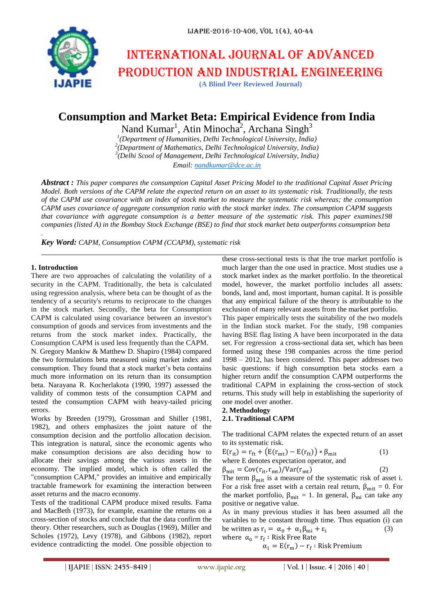# International journal of advanced production and industrial engineering

**(A Blind Peer Reviewed Journal)**

# **Consumption and Market Beta: Empirical Evidence from India**

Nand Kumar<sup>1</sup>, Atin Minocha<sup>2</sup>, Archana Singh<sup>3</sup>

 *(Department of Humanities, Delhi Technological University, India) (Department of Mathematics, Delhi Technological University, India) (Delhi Scool of Management, Delhi Technological University, India) Email: [nandkumar@dce.ac.in](mailto:nandkumar@dce.ac.in)*

*Abstract : This paper compares the consumption Capital Asset Pricing Model to the traditional Capital Asset Pricing Model. Both versions of the CAPM relate the expected return on an asset to its systematic risk. Traditionally, the tests of the CAPM use covariance with an index of stock market to measure the systematic risk whereas; the consumption CAPM uses covariance of aggregate consumption ratio with the stock market index. The consumption CAPM suggests that covariance with aggregate consumption is a better measure of the systematic risk. This paper examines198 companies (listed A) in the Bombay Stock Exchange (BSE) to find that stock market beta outperforms consumption beta*

*Key Word: CAPM, Consumption CAPM (CCAPM), systematic risk*

#### **1. Introduction**

*.*

There are two approaches of calculating the volatility of a security in the CAPM. Traditionally, the beta is calculated using regression analysis, where beta can be thought of as the tendency of a security's returns to reciprocate to the changes in the stock market. Secondly, the beta for Consumption CAPM is calculated using covariance between an investor's consumption of goods and services from investments and the returns from the stock market index. Practically, the Consumption CAPM is used less frequently than the CAPM. N. Gregory Mankiw & Matthew D. Shapiro (1984) compared the two formulations beta measured using market index and consumption. They found that a stock market's beta contains much more information on its return than its consumption beta. Narayana R. Kocherlakota (1990, 1997) assessed the validity of common tests of the consumption CAPM and tested the consumption CAPM with heavy-tailed pricing errors.

Works by Breeden (1979), Grossman and Shiller (1981, 1982), and others emphasizes the joint nature of the consumption decision and the portfolio allocation decision. This integration is natural, since the economic agents who make consumption decisions are also deciding how to allocate their savings among the various assets in the economy. The implied model, which is often called the "consumption CAPM," provides an intuitive and empirically tractable framework for examining the interaction between asset returns and the macro economy.

Tests of the traditional CAPM produce mixed results. Fama and MacBeth (1973), for example, examine the returns on a cross-section of stocks and conclude that the data confirm the theory. Other researchers, such as Douglas (1969), Miller and Scholes (1972), Levy (1978), and Gibbons (1982), report evidence contradicting the model. One possible objection to

these cross-sectional tests is that the true market portfolio is much larger than the one used in practice. Most studies use a stock market index as the market portfolio. In the theoretical model, however, the market portfolio includes all assets: bonds, land and, most important, human capital. It is possible that any empirical failure of the theory is attributable to the exclusion of many relevant assets from the market portfolio.

This paper empirically tests the suitability of the two models in the Indian stock market. For the study, 198 companies having BSE flag listing A have been incorporated in the data set. For regression, a cross-sectional data set, which has been formed using these 198 companies across the time period 1998 – 2012, has been considered. This paper addresses two basic questions: if high consumption beta stocks earn a higher return andif the consumption CAPM outperforms the traditional CAPM in explaining the cross-section of stock returns. This study will help in establishing the superiority of one model over another.

# **2. Methodology**

## **2.1. Traditional CAPM**

The traditional CAPM relates the expected return of an asset to its systematic risk.

$$
E(r_{it}) = r_{ft} + (E(r_{mt}) - E(r_{ft})) * \beta_{mit}
$$
\nwhere E denotes expectation operator, and\n
$$
\beta = C_0 r(r - r_{th}) / N r(r - r_{th})
$$
\n(1)

 $\beta_{\rm{mit}} = \text{Cov}(r_{\rm{it}}, r_{\rm{mt}})/\text{Var}(r_{\rm{mt}})$ The term  $\beta_{\text{mit}}$  is a measure of the systematic risk of asset i. For a risk free asset with a certain real return,  $\beta_{\text{mit}} = 0$ . For the market portfolio,  $\beta_{\text{mit}} = 1$ . In general,  $\beta_{\text{mi}}$  can take any positive or negative value.

As in many previous studies it has been assumed all the variables to be constant through time. Thus equation (i) can be written as  $r_i = \alpha_0 + \alpha_1 \beta_{mi} + \varepsilon_i$  (3) where  $\alpha_0 = r_f$ :

$$
\alpha_1 = E(r_m) - r_f : Risk \, Premium
$$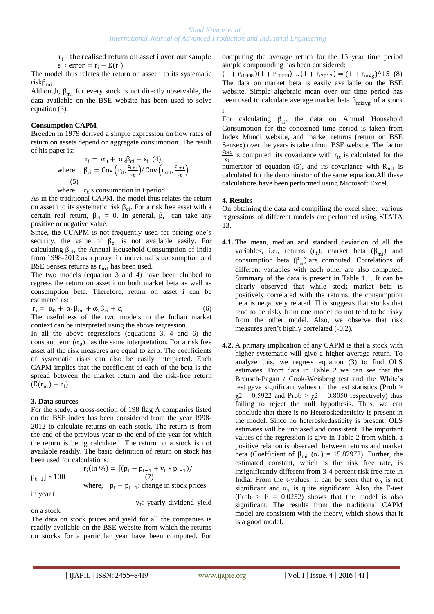$r_i$ :  $\varepsilon_i$ : error =  $r_i - E(r_i)$ 

The model thus relates the return on asset i to its systematic  $risk\beta_{mi}$ .

Although,  $\beta_{mi}$  for every stock is not directly observable, the data available on the BSE website has been used to solve equation (3).

#### **Consumption CAPM**

Breeden in 1979 derived a simple expression on how rates of return on assets depend on aggregate consumption. The result of his paper is:

$$
r_{i} = \alpha_{0} + \alpha_{2} \beta_{ci} + \varepsilon_{i} \quad (4)
$$
  
where 
$$
\beta_{ci} = Cov \left( r_{it} \frac{c_{t+1}}{c_{t}} \right) / Cov \left( r_{mt} \frac{c_{t+1}}{c_{t}} \right)
$$
  
(5)

where  $c_t$  is consumption in t period

As in the traditional CAPM, the model thus relates the return on asset i to its systematic risk  $\beta_{ci}$ . For a risk free asset with a certain real return,  $\beta_{ci} = 0$ . In general,  $\beta_{ci}$  can take any positive or negative value.

Since, the CCAPM is not frequently used for pricing one's security, the value of  $\beta_{ci}$  is not available easily. For calculating  $\beta_{ci}$ , the Annual Household Consumption of India from 1998-2012 as a proxy for individual's consumption and BSE Sensex returns as  $r_{mt}$  has been used.

The two models (equation 3 and 4) have been clubbed to regress the return on asset i on both market beta as well as consumption beta. Therefore, return on asset i can be estimated as:

$$
r_i = \alpha_0 + \alpha_1 \beta_{mi} + \alpha_2 \beta_{ci} + \varepsilon_i \tag{6}
$$

The usefulness of the two models in the Indian market context can be interpreted using the above regression.

In all the above regressions (equations 3, 4 and 6) the constant term  $(\alpha_0)$  has the same interpretation. For a risk free asset all the risk measures are equal to zero. The coefficients of systematic risks can also be easily interpreted. Each CAPM implies that the coefficient of each of the beta is the spread between the market return and the risk-free return  $(E(r_m) - r_f)$ .

#### **3. Data sources**

For the study, a cross-section of 198 flag A companies listed on the BSE index has been considered from the year 1998- 2012 to calculate returns on each stock. The return is from the end of the previous year to the end of the year for which the return is being calculated. The return on a stock is not available readily. The basic definition of return on stock has been used for calculations.

$$
p_{t-1}]*100
$$

 $r_i(in \%) = [(p_t - p_{t-1} + y_t * p_{t-1})]$  $\frac{1}{2}$  \* 100 (7) where,  $p_t - p_{t-1}$ : change in stock prices

in year t

y<sub>t</sub>: yearly dividend yield

on a stock

The data on stock prices and yield for all the companies is readily available on the BSE website from which the returns on stocks for a particular year have been computed. For computing the average return for the 15 year time period simple compounding has been considered:

 $(1 + r_{i1998})(1 + r_{i1999})$  ...  $(1 + r_{i2012}) = (1 + r_{iavg})^15$  (8) The data on market beta is easily available on the BSE website. Simple algebraic mean over our time period has been used to calculate average market beta  $\beta_{\text{miaye}}$  of a stock i.

For calculating  $\beta_{ci}$ , the data on Annual Household Consumption for the concerned time period is taken from Index Mundi website, and market returns (return on BSE Sensex) over the years is taken from BSE website. The factor  $\frac{c_{t+1}}{c_{t+1}}$  is computed; its covariance with  $r_{it}$  is calculated for the  $c_t$ numerator of equation (5), and its covariance with  $R_{mt}$  is calculated for the denominator of the same equation.All these calculations have been performed using Microsoft Excel.

#### **4. Results**

On obtaining the data and compiling the excel sheet, various regressions of different models are performed using STATA 13.

- **4.1.** The mean, median and standard deviation of all the variables, i.e., returns  $(r_i)$ , market beta  $(\beta_{mi})$  and consumption beta  $(\beta_{ci})$  are computed. Correlations of different variables with each other are also computed. Summary of the data is present in Table 1.1. It can be clearly observed that while stock market beta is positively correlated with the returns, the consumption beta is negatively related. This suggests that stocks that tend to be risky from one model do not tend to be risky from the other model. Also, we observe that risk measures aren't highly correlated (-0.2).
- **4.2.** A primary implication of any CAPM is that a stock with higher systematic will give a higher average return. To analyze this, we regress equation (3) to find OLS estimates. From data in Table 2 we can see that the Breusch-Pagan / Cook-Weisberg test and the White's test gave significant values of the test statistics (Prob >  $\chi$ 2 = 0.5922 and Prob >  $\chi$ 2 = 0.8050 respectively) thus failing to reject the null hypothesis. Thus, we can conclude that there is no Heteroskedasticity is present in the model. Since no heteroskedasticity is present, OLS estimates will be unbiased and consistent. The important values of the regression is give in Table 2 from which, a positive relation is observed between returns and market beta (Coefficient of  $\beta_{mi}$  ( $\alpha_1$ ) = 15.87972). Further, the estimated constant, which is the risk free rate, is insignificantly different from 3-4 percent risk free rate in India. From the t-values, it can be seen that  $\alpha_0$  is not significant and  $\alpha_1$  is quite significant. Also, the F-test  $(Prob > F = 0.0252)$  shows that the model is also significant. The results from the traditional CAPM model are consistent with the theory, which shows that it is a good model.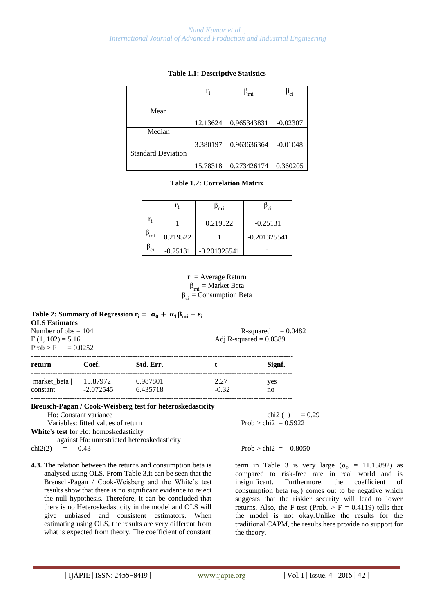|                           | $r_i$    | $P_{\text{mi}}$ | $\mathsf{P}_{\text{C}^{\text{I}}}$ |
|---------------------------|----------|-----------------|------------------------------------|
|                           |          |                 |                                    |
| Mean                      |          |                 |                                    |
|                           | 12.13624 | 0.965343831     | $-0.02307$                         |
| Median                    |          |                 |                                    |
|                           | 3.380197 | 0.963636364     | $-0.01048$                         |
| <b>Standard Deviation</b> |          |                 |                                    |
|                           | 15.78318 | 0.273426174     | 0.360205                           |

#### **Table 1.1: Descriptive Statistics**

#### **Table 1.2: Correlation Matrix**

|                       | r,         | ۲mi            | Ρ <sub>ci</sub> |
|-----------------------|------------|----------------|-----------------|
| r <sub>i</sub>        |            | 0.219522       | $-0.25131$      |
| $\upbeta_{\text{mi}}$ | 0.219522   |                | $-0.201325541$  |
| $P_{\rm ci}$          | $-0.25131$ | $-0.201325541$ |                 |

 $r_i$  = Average Return  $\beta_{mi}$  = Market Beta  $\beta_{ci}$  = Consumption Beta

#### **Table 2: Summary of Regression**  $\mathbf{r_i} = \alpha_0 + \alpha_1 \beta_{\text{mi}} + \varepsilon_i$ **OLS Estimates** Number of  $obs = 104$  R-squared  $= 0.0482$

 $F(1, 102) = 5.16$  Adj R-squared = 0.0389 Prob

| $100 > F = 0.0252$      |                         |                      |                 |           |  |
|-------------------------|-------------------------|----------------------|-----------------|-----------|--|
| return                  | Coef.                   | Std. Err.            |                 | Signf.    |  |
| market beta<br>constant | 15.87972<br>$-2.072545$ | 6.987801<br>6.435718 | 2.27<br>$-0.32$ | yes<br>no |  |

------------------------------------------------------------------------------------------------------------

#### **Breusch-Pagan / Cook-Weisberg test for heteroskedasticity**

Variables: fitted values of return  $\text{Prob} > \text{chi2} = 0.5922$ 

**White's test** for Ho: homoskedasticity

against Ha: unrestricted heteroskedasticity

**4.3.** The relation between the returns and consumption beta is analysed using OLS. From Table 3,it can be seen that the Breusch-Pagan / Cook-Weisberg and the White's test results show that there is no significant evidence to reject the null hypothesis. Therefore, it can be concluded that there is no Heteroskedasticity in the model and OLS will give unbiased and consistent estimators. When estimating using OLS, the results are very different from what is expected from theory. The coefficient of constant

Ho: Constant variance chi2 (1) =  $0.29$ 

chi2(2) =  $0.43$  Prob > chi2 =  $0.8050$ 

term in Table 3 is very large  $(\alpha_0 = 11.15892)$  as compared to risk-free rate in real world and is insignificant. Furthermore, the coefficient of consumption beta  $(\alpha_2)$  comes out to be negative which suggests that the riskier security will lead to lower returns. Also, the F-test (Prob.  $>$  F = 0.4119) tells that the model is not okay.Unlike the results for the traditional CAPM, the results here provide no support for the theory.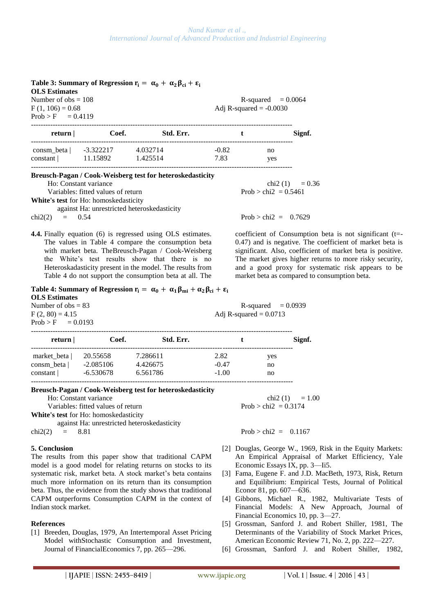## **Table 3: Summary of Regression**  $\mathbf{r_i} = \alpha_0 + \alpha_2 \beta_{ci} + \varepsilon_i$ **OLS Estimates**

 $Prob > F = 0.4119$ 

Number of  $obs = 108$  R-squared  $= 0.0064$  $F(1, 106) = 0.68$  Adj R-squared = -0.0030

| return                 | Coef.                 | Std. Err.            |                 | Signf.    |
|------------------------|-----------------------|----------------------|-----------------|-----------|
| consm beta<br>constant | -3.322217<br>11.15892 | 4.032714<br>1.425514 | $-0.82$<br>7.83 | no<br>yes |
|                        |                       |                      |                 |           |

**Breusch-Pagan / Cook-Weisberg test for heteroskedasticity** 

Ho: Constant variance chi2 (1) =  $0.36$ 

Variables: fitted values of return  $\text{Prob} > \text{chi2} = 0.5461$ **White's test** for Ho: homoskedasticity

against Ha: unrestricted heteroskedasticity

**4.4.** Finally equation (6) is regressed using OLS estimates. The values in Table 4 compare the consumption beta with market beta. TheBreusch-Pagan / Cook-Weisberg the White's test results show that there is no Heteroskadasticity present in the model. The results from Table 4 do not support the consumption beta at all. The

chi2(2) =  $0.54$  Prob > chi2 =  $0.7629$ 

coefficient of Consumption beta is not significant (t=- 0.47) and is negative. The coefficient of market beta is significant. Also, coefficient of market beta is positive. The market gives higher returns to more risky security, and a good proxy for systematic risk appears to be market beta as compared to consumption beta.

| Table 4: Summary of Regression $r_i = \alpha_0 + \alpha_1 \beta_{mi} + \alpha_2 \beta_{ci} + \epsilon_i$ |                                                     |
|----------------------------------------------------------------------------------------------------------|-----------------------------------------------------|
|                                                                                                          |                                                     |
|                                                                                                          |                                                     |
|                                                                                                          |                                                     |
|                                                                                                          |                                                     |
|                                                                                                          | $R$ -squared $= 0.0939$<br>Adj R-squared $= 0.0713$ |

| return      | Coef.       | Std. Err. |         |     | Signf. |
|-------------|-------------|-----------|---------|-----|--------|
| market beta | 20.55658    | 7.286611  | 2.82    | yes |        |
| consm beta  | $-2.085106$ | 4.426675  | $-0.47$ | no  |        |
| constant    | $-6.530678$ | 6.561786  | $-1.00$ | no  |        |

#### **Breusch-Pagan / Cook-Weisberg test for heteroskedasticity**

Variables: fitted values of return  $\text{Prob} > \text{chi2} = 0.3174$ 

**White's test** for Ho: homoskedasticity

against Ha: unrestricted heteroskedasticity

#### **5. Conclusion**

The results from this paper show that traditional CAPM model is a good model for relating returns on stocks to its systematic risk, market beta. A stock market's beta contains much more information on its return than its consumption beta. Thus, the evidence from the study shows that traditional CAPM outperforms Consumption CAPM in the context of Indian stock market.

#### **References**

[1] Breeden, Douglas, 1979, An Intertemporal Asset Pricing Model withStochastic Consumption and Investment, Journal of FinancialEconomics 7, pp. 265—296.

Ho: Constant variance chi2 (1) =  $1.00$ 

chi2(2) = 8.81 Prob > chi2 = 0.1167

- [2] Douglas, George W., 1969, Risk in the Equity Markets: An Empirical Appraisal of Market Efficiency, Yale Economic Essays IX, pp. 3—Ii5.
- [3] Fama, Eugene F. and J.D. MacBeth, 1973, Risk, Return and Equilibrium: Empirical Tests, Journal of Political Econor 81, pp. 607—636.
- [4] Gibbons, Michael R., 1982, Multivariate Tests of Financial Models: A New Approach, Journal of Financial Economics 10, pp. 3—27.
- [5] Grossman, Sanford J. and Robert Shiller, 1981, The Determinants of the Variability of Stock Market Prices, American Economic Review 71, No. 2, pp. 222—227.
- [6] Grossman, Sanford J. and Robert Shiller, 1982,